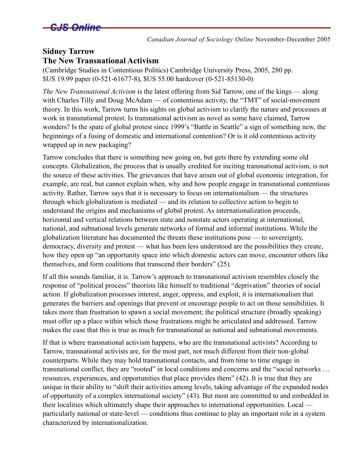

*Canadian Journal of Sociology Online* November-December 2005

## **Sidney Tarrow The New Transnational Activism**

(Cambridge Studies in Contentious Politics) Cambridge University Press, 2005, 280 pp. \$US 19.99 paper (0-521-61677-8), \$US 55.00 hardcover (0-521-85130-0)

*The New Transnational Activism* is the latest offering from Sid Tarrow, one of the kings — along with Charles Tilly and Doug McAdam — of contentious activity, the "TMT" of social-movement theory. In this work, Tarrow turns his sights on global activism to clarify the nature and processes at work in transnational protest. Is transnational activism as novel as some have claimed, Tarrow wonders? Is the spate of global protest since 1999's "Battle in Seattle" a sign of something new, the beginnings of a fusing of domestic and international contention? Or is it old contentious activity wrapped up in new packaging?

Tarrow concludes that there is something new going on, but gets there by extending some old concepts. Globalization, the process that is usually credited for inciting transnational activism, is not the source of these activities. The grievances that have arisen out of global economic integration, for example, are real, but cannot explain when, why and how people engage in transnational contentious activity. Rather, Tarrow says that it is necessary to focus on internationalism — the structures through which globalization is mediated — and its relation to collective action to begin to understand the origins and mechanisms of global protest. As internationalization proceeds, horizontal and vertical relations between state and nonstate actors operating at international, national, and subnational levels generate networks of formal and informal institutions. While the globalization literature has documented the threats these institutions pose — to sovereignty, democracy, diversity and protest — what has been less understood are the possibilities they create, how they open up "an opportunity space into which domestic actors can move, encounter others like themselves, and form coalitions that transcend their borders" (25).

If all this sounds familiar, it is. Tarrow's approach to transnational activism resembles closely the response of "political process" theorists like himself to traditional "deprivation" theories of social action. If globalization processes interest, anger, oppress, and exploit, it is internationalism that generates the barriers and openings that prevent or encourage people to act on those sensibilities. It takes more than frustration to spawn a social movement; the political structure (broadly speaking) must offer up a place within which those frustrations might be articulated and addressed. Tarrow makes the case that this is true as much for transnational as national and subnational movements.

If that is where transnational activism happens, who are the transnational activists? According to Tarrow, transnational activists are, for the most part, not much different from their non-global counterparts. While they may hold transnational contacts, and from time to time engage in transnational conflict, they are "rooted" in local conditions and concerns and the "social networks … resources, experiences, and opportunities that place provides them" (42). It is true that they are unique in their ability to "shift their activities among levels, taking advantage of the expanded nodes of opportunity of a complex international society" (43). But most are committed to and embedded in their localities which ultimately shape their approaches to international opportunities. Local particularly national or state-level — conditions thus continue to play an important role in a system characterized by internationalization.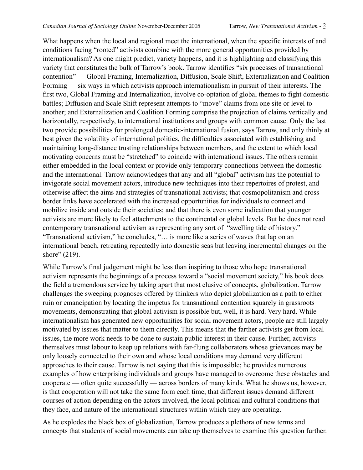What happens when the local and regional meet the international, when the specific interests of and conditions facing "rooted" activists combine with the more general opportunities provided by internationalism? As one might predict, variety happens, and it is highlighting and classifying this variety that constitutes the bulk of Tarrow's book. Tarrow identifies "six processes of transnational contention" — Global Framing, Internalization, Diffusion, Scale Shift, Externalization and Coalition Forming — six ways in which activists approach internationalism in pursuit of their interests. The first two, Global Framing and Internalization, involve co-optation of global themes to fight domestic battles; Diffusion and Scale Shift represent attempts to "move" claims from one site or level to another; and Externalization and Coalition Forming comprise the projection of claims vertically and horizontally, respectively, to international institutions and groups with common cause. Only the last two provide possibilities for prolonged domestic-international fusion, says Tarrow, and only thinly at best given the volatility of international politics, the difficulties associated with establishing and maintaining long-distance trusting relationships between members, and the extent to which local motivating concerns must be "stretched" to coincide with international issues. The others remain either embedded in the local context or provide only temporary connections between the domestic and the international. Tarrow acknowledges that any and all "global" activism has the potential to invigorate social movement actors, introduce new techniques into their repertoires of protest, and otherwise affect the aims and strategies of transnational activists; that cosmopolitanism and crossborder links have accelerated with the increased opportunities for individuals to connect and mobilize inside and outside their societies; and that there is even some indication that younger activists are more likely to feel attachments to the continental or global levels. But he does not read contemporary transnational activism as representing any sort of "swelling tide of history." "Transnational activism," he concludes, "… is more like a series of waves that lap on an international beach, retreating repeatedly into domestic seas but leaving incremental changes on the shore" (219).

While Tarrow's final judgement might be less than inspiring to those who hope transnational activism represents the beginnings of a process toward a "social movement society," his book does the field a tremendous service by taking apart that most elusive of concepts, globalization. Tarrow challenges the sweeping prognoses offered by thinkers who depict globalization as a path to either ruin or emancipation by locating the impetus for transnational contention squarely in grassroots movements, demonstrating that global activism is possible but, well, it is hard. Very hard. While internationalism has generated new opportunities for social movement actors, people are still largely motivated by issues that matter to them directly. This means that the farther activists get from local issues, the more work needs to be done to sustain public interest in their cause. Further, activists themselves must labour to keep up relations with far-flung collaborators whose grievances may be only loosely connected to their own and whose local conditions may demand very different approaches to their cause. Tarrow is not saying that this is impossible; he provides numerous examples of how enterprising individuals and groups have managed to overcome these obstacles and cooperate — often quite successfully — across borders of many kinds. What he shows us, however, is that cooperation will not take the same form each time, that different issues demand different courses of action depending on the actors involved, the local political and cultural conditions that they face, and nature of the international structures within which they are operating.

As he explodes the black box of globalization, Tarrow produces a plethora of new terms and concepts that students of social movements can take up themselves to examine this question further.